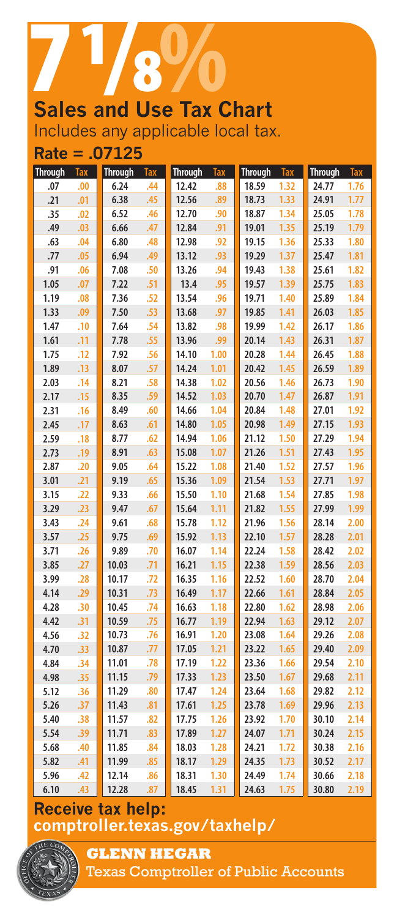# **Sales and Use Tax Chart** Includes any applicable local tax.

**Rate = .07125**

| <b>Through</b> | <b>Tax</b> | <b>Through</b> | <b>Tax</b> | <b>Through</b> | <b>Tax</b> | Through Tax |      | <b>Through</b> | Tax  |
|----------------|------------|----------------|------------|----------------|------------|-------------|------|----------------|------|
| .07            | .00        | 6.24           | .44        | 12.42          | .88        | 18.59       | 1.32 | 24.77          | 1.76 |
| .21            | .01        | 6.38           | .45        | 12.56          | .89        | 18.73       | 1.33 | 24.91          | 1.77 |
| .35            | .02        | 6.52           | .46        | 12.70          | .90        | 18.87       | 1.34 | 25.05          | 1.78 |
| .49            | .03        | 6.66           | .47        | 12.84          | .91        | 19.01       | 1.35 | 25.19          | 1.79 |
| .63            | .04        | 6.80           | .48        | 12.98          | .92        | 19.15       | 1.36 | 25.33          | 1.80 |
| .77            | .05        | 6.94           | .49        | 13.12          | .93        | 19.29       | 1.37 | 25.47          | 1.81 |
| .91            | .06        | 7.08           | .50        | 13.26          | .94        | 19.43       | 1.38 | 25.61          | 1.82 |
| 1.05           | .07        | 7.22           | .51        | 13.4           | .95        | 19.57       | 1.39 | 25.75          | 1.83 |
| 1.19           | .08        | 7.36           | .52        | 13.54          | .96        | 19.71       | 1.40 | 25.89          | 1.84 |
| 1.33           | .09        | 7.50           | .53        | 13.68          | .97        | 19.85       | 1.41 | 26.03          | 1.85 |
| 1.47           | .10        | 7.64           | .54        | 13.82          | .98        | 19.99       | 1.42 | 26.17          | 1.86 |
| 1.61           | .11        | 7.78           | .55        | 13.96          | .99        | 20.14       | 1.43 | 26.31          | 1.87 |
| 1.75           | .12        | 7.92           | .56        | 14.10          | 1.00       | 20.28       | 1.44 | 26.45          | 1.88 |
| 1.89           | .13        | 8.07           | .57        | 14.24          | 1.01       | 20.42       | 1.45 | 26.59          | 1.89 |
| 2.03           | .14        | 8.21           | .58        | 14.38          | 1.02       | 20.56       | 1.46 | 26.73          | 1.90 |
| 2.17           | .15        | 8.35           | .59        | 14.52          | 1.03       | 20.70       | 1.47 | 26.87          | 1.91 |
| 2.31           | .16        | 8.49           | .60        | 14.66          | 1.04       | 20.84       | 1.48 | 27.01          | 1.92 |
| 2.45           | .17        | 8.63           | .61        | 14.80          | 1.05       | 20.98       | 1.49 | 27.15          | 1.93 |
| 2.59           | .18        | 8.77           | .62        | 14.94          | 1.06       | 21.12       | 1.50 | 27.29          | 1.94 |
| 2.73           | .19        | 8.91           | .63        | 15.08          | 1.07       | 21.26       | 1.51 | 27.43          | 1.95 |
| 2.87           | .20        | 9.05           | .64        | 15.22          | 1.08       | 21.40       | 1.52 | 27.57          | 1.96 |
| 3.01           | .21        | 9.19           | .65        | 15.36          | 1.09       | 21.54       | 1.53 | 27.71          | 1.97 |
| 3.15           | .22        | 9.33           | .66        | 15.50          | 1.10       | 21.68       | 1.54 | 27.85          | 1.98 |
| 3.29           | .23        | 9.47           | .67        | 15.64          | 1.11       | 21.82       | 1.55 | 27.99          | 1.99 |
| 3.43           | .24        | 9.61           | .68        | 15.78          | 1.12       | 21.96       | 1.56 | 28.14          | 2.00 |
| 3.57           | .25        | 9.75           | .69        | 15.92          | 1.13       | 22.10       | 1.57 | 28.28          | 2.01 |
| 3.71           | .26        | 9.89           | .70        | 16.07          | 1.14       | 22.24       | 1.58 | 28.42          | 2.02 |
| 3.85           | .27        | 10.03          | .71        | 16.21          | 1.15       | 22.38       | 1.59 | 28.56          | 2.03 |
| 3.99           | .28        | 10.17          | .72        | 16.35          | 1.16       | 22.52       | 1.60 | 28.70          | 2.04 |
| 4.14           | .29        | 10.31          | .73        | 16.49          | 1.17       | 22.66       | 1.61 | 28.84          | 2.05 |
| 4.28           | .30        | 10.45          | .74        | 16.63          | 1.18       | 22.80       | 1.62 | 28.98          | 2.06 |
| 4.42           | .31        | 10.59          | .75        | 16.77          | 1.19       | 22.94       | 1.63 | 29.12          | 2.07 |
| 4.56           | .32        | 10.73          | .76        | 16.91          | 1.20       | 23.08       | 1.64 | 29.26          | 2.08 |
| 4.70           | .33        | 10.87          | .77        | 17.05          | 1.21       | 23.22       | 1.65 | 29.40          | 2.09 |
| 4.84           | .34        | 11.01          | .78        | 17.19          | 1.22       | 23.36       | 1.66 | 29.54          | 2.10 |
| 4.98           | .35        | 11.15          | .79        | 17.33          | 1.23       | 23.50       | 1.67 | 29.68          | 2.11 |
| 5.12           | .36        | 11.29          | .80        | 17.47          | 1.24       | 23.64       | 1.68 | 29.82          | 2.12 |
| 5.26           | .37        | 11.43          | .81        | 17.61          | 1.25       | 23.78       | 1.69 | 29.96          | 2.13 |
| 5.40           | .38        | 11.57          | .82        | 17.75          | 1.26       | 23.92       | 1.70 | 30.10          | 2.14 |
| 5.54           | .39        | 11.71          | .83        | 17.89          | 1.27       | 24.07       | 1.71 | 30.24          | 2.15 |
| 5.68           | .40        | 11.85          | .84        | 18.03          | 1.28       | 24.21       | 1.72 | 30.38          | 2.16 |
| 5.82           | .41        | 11.99          | .85        | 18.17          | 1.29       | 24.35       | 1.73 | 30.52          | 2.17 |
| 5.96           | .42        | 12.14          | .86        | 18.31          | 1.30       | 24.49       | 1.74 | 30.66          | 2.18 |
| 6.10           | .43        | 12.28          | .87        | 18.45          | 1.31       | 24.63       | 1.75 | 30.80          | 2.19 |

## **Receive tax help: <comptroller.texas.gov/taxhelp/>**



**GLENN HEGAR** 

Texas Comptroller of Public Accounts